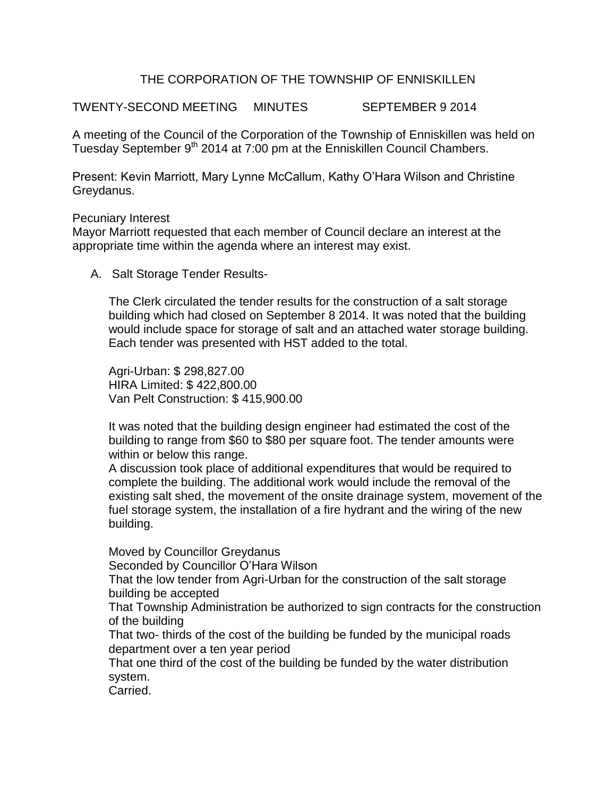## THE CORPORATION OF THE TOWNSHIP OF ENNISKILLEN

TWENTY-SECOND MEETING MINUTES SEPTEMBER 9 2014

A meeting of the Council of the Corporation of the Township of Enniskillen was held on Tuesday September 9<sup>th</sup> 2014 at 7:00 pm at the Enniskillen Council Chambers.

Present: Kevin Marriott, Mary Lynne McCallum, Kathy O'Hara Wilson and Christine Greydanus.

## Pecuniary Interest

Mayor Marriott requested that each member of Council declare an interest at the appropriate time within the agenda where an interest may exist.

A. Salt Storage Tender Results-

The Clerk circulated the tender results for the construction of a salt storage building which had closed on September 8 2014. It was noted that the building would include space for storage of salt and an attached water storage building. Each tender was presented with HST added to the total.

Agri-Urban: \$ 298,827.00 HIRA Limited: \$ 422,800.00 Van Pelt Construction: \$ 415,900.00

It was noted that the building design engineer had estimated the cost of the building to range from \$60 to \$80 per square foot. The tender amounts were within or below this range.

A discussion took place of additional expenditures that would be required to complete the building. The additional work would include the removal of the existing salt shed, the movement of the onsite drainage system, movement of the fuel storage system, the installation of a fire hydrant and the wiring of the new building.

Moved by Councillor Greydanus

Seconded by Councillor O'Hara Wilson

That the low tender from Agri-Urban for the construction of the salt storage building be accepted

That Township Administration be authorized to sign contracts for the construction of the building

That two- thirds of the cost of the building be funded by the municipal roads department over a ten year period

That one third of the cost of the building be funded by the water distribution system.

Carried.